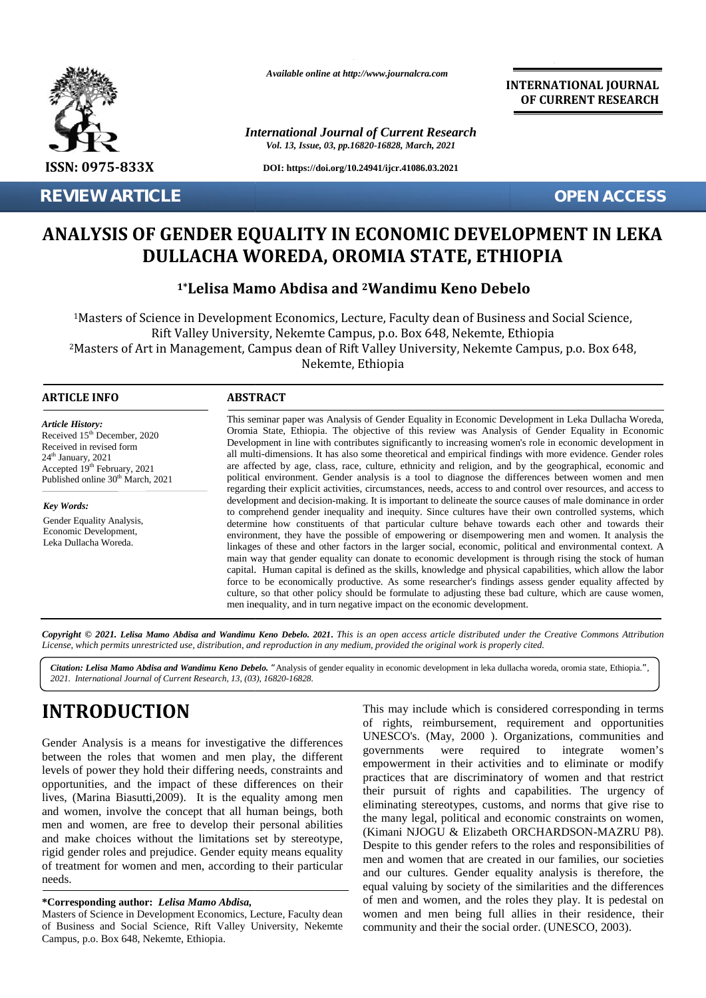

*Available online at http://www.journalcra.com*

*International Journal of Current Research Vol. 13, Issue, 03, pp.16820-16828, March, 2021*

**DOI: https://doi.org/10.24941/ijcr.41086.03.2021**

**INTERNATIONAL JOURNAL OF CURRENT RESEARCH**

**REVIEW ARTICLE OPEN ACCESS**

## **ANALYSIS OF GENDER EQUALITY IN ECONOMIC DEVELOPMENT IN LEKA OF DEVELOPMENT IN LEKADULLACHA WOREDA, OROMIA STATE, ETHIOPIA**

| <b>REVIEW ARTICLE</b>                                                                                                                                                                                                                                                                                                                                                                                                                                                                                                                                                                                                                                                                                                                                                                                                                                                                                                          |                                                                                                                                                                                                                                                                                                                                                                                                                                                                                                                                                                                                                                                                                                                                                                       | <b>OPEN ACCESS</b>                                                                                                                                                                                                                                                                                                                                                                                                                                                                                                                                                                                                                                                                                                                                                                                                                                                                                                                                                                                                                                                   |  |  |  |
|--------------------------------------------------------------------------------------------------------------------------------------------------------------------------------------------------------------------------------------------------------------------------------------------------------------------------------------------------------------------------------------------------------------------------------------------------------------------------------------------------------------------------------------------------------------------------------------------------------------------------------------------------------------------------------------------------------------------------------------------------------------------------------------------------------------------------------------------------------------------------------------------------------------------------------|-----------------------------------------------------------------------------------------------------------------------------------------------------------------------------------------------------------------------------------------------------------------------------------------------------------------------------------------------------------------------------------------------------------------------------------------------------------------------------------------------------------------------------------------------------------------------------------------------------------------------------------------------------------------------------------------------------------------------------------------------------------------------|----------------------------------------------------------------------------------------------------------------------------------------------------------------------------------------------------------------------------------------------------------------------------------------------------------------------------------------------------------------------------------------------------------------------------------------------------------------------------------------------------------------------------------------------------------------------------------------------------------------------------------------------------------------------------------------------------------------------------------------------------------------------------------------------------------------------------------------------------------------------------------------------------------------------------------------------------------------------------------------------------------------------------------------------------------------------|--|--|--|
|                                                                                                                                                                                                                                                                                                                                                                                                                                                                                                                                                                                                                                                                                                                                                                                                                                                                                                                                |                                                                                                                                                                                                                                                                                                                                                                                                                                                                                                                                                                                                                                                                                                                                                                       | ANALYSIS OF GENDER EQUALITY IN ECONOMIC DEVELOPMENT IN LEKA<br>DULLACHA WOREDA, OROMIA STATE, ETHIOPIA                                                                                                                                                                                                                                                                                                                                                                                                                                                                                                                                                                                                                                                                                                                                                                                                                                                                                                                                                               |  |  |  |
|                                                                                                                                                                                                                                                                                                                                                                                                                                                                                                                                                                                                                                                                                                                                                                                                                                                                                                                                |                                                                                                                                                                                                                                                                                                                                                                                                                                                                                                                                                                                                                                                                                                                                                                       | <sup>1*</sup> Lelisa Mamo Abdisa and <sup>2</sup> Wandimu Keno Debelo                                                                                                                                                                                                                                                                                                                                                                                                                                                                                                                                                                                                                                                                                                                                                                                                                                                                                                                                                                                                |  |  |  |
|                                                                                                                                                                                                                                                                                                                                                                                                                                                                                                                                                                                                                                                                                                                                                                                                                                                                                                                                | Nekemte, Ethiopia                                                                                                                                                                                                                                                                                                                                                                                                                                                                                                                                                                                                                                                                                                                                                     | <sup>1</sup> Masters of Science in Development Economics, Lecture, Faculty dean of Business and Social Science,<br>Rift Valley University, Nekemte Campus, p.o. Box 648, Nekemte, Ethiopia<br><sup>2</sup> Masters of Art in Management, Campus dean of Rift Valley University, Nekemte Campus, p.o. Box 648,                                                                                                                                                                                                                                                                                                                                                                                                                                                                                                                                                                                                                                                                                                                                                        |  |  |  |
| <b>ARTICLE INFO</b>                                                                                                                                                                                                                                                                                                                                                                                                                                                                                                                                                                                                                                                                                                                                                                                                                                                                                                            | <b>ABSTRACT</b>                                                                                                                                                                                                                                                                                                                                                                                                                                                                                                                                                                                                                                                                                                                                                       |                                                                                                                                                                                                                                                                                                                                                                                                                                                                                                                                                                                                                                                                                                                                                                                                                                                                                                                                                                                                                                                                      |  |  |  |
| <b>Article History:</b><br>Received 15 <sup>th</sup> December, 2020<br>Received in revised form<br>24 <sup>th</sup> January, 2021<br>Accepted 19 <sup>th</sup> February, 2021<br>Published online 30 <sup>th</sup> March, 2021                                                                                                                                                                                                                                                                                                                                                                                                                                                                                                                                                                                                                                                                                                 | This seminar paper was Analysis of Gender Equality in Economic Development in Leka Dullacha Woreda,<br>Oromia State, Ethiopia. The objective of this review was Analysis of Gender Equality in Economic<br>Development in line with contributes significantly to increasing women's role in economic development in<br>all multi-dimensions. It has also some theoretical and empirical findings with more evidence. Gender roles<br>are affected by age, class, race, culture, ethnicity and religion, and by the geographical, economic and<br>political environment. Gender analysis is a tool to diagnose the differences between women and men<br>regarding their explicit activities, circumstances, needs, access to and control over resources, and access to |                                                                                                                                                                                                                                                                                                                                                                                                                                                                                                                                                                                                                                                                                                                                                                                                                                                                                                                                                                                                                                                                      |  |  |  |
| Key Words:<br>Gender Equality Analysis,<br>Economic Development,<br>Leka Dullacha Woreda.                                                                                                                                                                                                                                                                                                                                                                                                                                                                                                                                                                                                                                                                                                                                                                                                                                      |                                                                                                                                                                                                                                                                                                                                                                                                                                                                                                                                                                                                                                                                                                                                                                       | development and decision-making. It is important to delineate the source causes of male dominance in order<br>to comprehend gender inequality and inequity. Since cultures have their own controlled systems, which<br>determine how constituents of that particular culture behave towards each other and towards their<br>environment, they have the possible of empowering or disempowering men and women. It analysis the<br>linkages of these and other factors in the larger social, economic, political and environmental context. A<br>main way that gender equality can donate to economic development is through rising the stock of human<br>capital. Human capital is defined as the skills, knowledge and physical capabilities, which allow the labor<br>force to be economically productive. As some researcher's findings assess gender equality affected by<br>culture, so that other policy should be formulate to adjusting these bad culture, which are cause women,<br>men inequality, and in turn negative impact on the economic development. |  |  |  |
|                                                                                                                                                                                                                                                                                                                                                                                                                                                                                                                                                                                                                                                                                                                                                                                                                                                                                                                                |                                                                                                                                                                                                                                                                                                                                                                                                                                                                                                                                                                                                                                                                                                                                                                       | Copyright © 2021. Lelisa Mamo Abdisa and Wandimu Keno Debelo. 2021. This is an open access article distributed under the Creative Commons Attribution<br>License, which permits unrestricted use, distribution, and reproduction in any medium, provided the original work is properly cited.                                                                                                                                                                                                                                                                                                                                                                                                                                                                                                                                                                                                                                                                                                                                                                        |  |  |  |
| 2021. International Journal of Current Research, 13, (03), 16820-16828.                                                                                                                                                                                                                                                                                                                                                                                                                                                                                                                                                                                                                                                                                                                                                                                                                                                        |                                                                                                                                                                                                                                                                                                                                                                                                                                                                                                                                                                                                                                                                                                                                                                       | Citation: Lelisa Mamo Abdisa and Wandimu Keno Debelo. "Analysis of gender equality in economic development in leka dullacha woreda, oromia state, Ethiopia.",                                                                                                                                                                                                                                                                                                                                                                                                                                                                                                                                                                                                                                                                                                                                                                                                                                                                                                        |  |  |  |
| <b>INTRODUCTION</b><br>Gender Analysis is a means for investigative the differences<br>between the roles that women and men play, the different<br>levels of power they hold their differing needs, constraints and<br>opportunities, and the impact of these differences on their<br>lives, (Marina Biasutti, 2009). It is the equality among men<br>and women, involve the concept that all human beings, both<br>men and women, are free to develop their personal abilities<br>and make choices without the limitations set by stereotype,<br>rigid gender roles and prejudice. Gender equity means equality<br>of treatment for women and men, according to their particular<br>needs.<br>*Corresponding author: Lelisa Mamo Abdisa,<br>Masters of Science in Development Economics, Lecture, Faculty dean<br>of Business and Social Science, Rift Valley University, Nekemte<br>Campus, p.o. Box 648, Nekemte, Ethiopia. |                                                                                                                                                                                                                                                                                                                                                                                                                                                                                                                                                                                                                                                                                                                                                                       | This may include which is considered corresponding in terms<br>of rights, reimbursement, requirement and opportunities<br>UNESCO's. (May, 2000). Organizations, communities and<br>governments were required to integrate<br>women's<br>empowerment in their activities and to eliminate or modify<br>practices that are discriminatory of women and that restrict<br>their pursuit of rights and capabilities. The urgency of<br>eliminating stereotypes, customs, and norms that give rise to<br>the many legal, political and economic constraints on women,<br>(Kimani NJOGU & Elizabeth ORCHARDSON-MAZRU P8).<br>Despite to this gender refers to the roles and responsibilities of<br>men and women that are created in our families, our societies<br>and our cultures. Gender equality analysis is therefore, the<br>equal valuing by society of the similarities and the differences                                                                                                                                                                        |  |  |  |
|                                                                                                                                                                                                                                                                                                                                                                                                                                                                                                                                                                                                                                                                                                                                                                                                                                                                                                                                |                                                                                                                                                                                                                                                                                                                                                                                                                                                                                                                                                                                                                                                                                                                                                                       | of men and women, and the roles they play. It is pedestal on<br>women and men being full allies in their residence, their<br>community and their the social order. (UNESCO, 2003).                                                                                                                                                                                                                                                                                                                                                                                                                                                                                                                                                                                                                                                                                                                                                                                                                                                                                   |  |  |  |

# **INTRODUCTION INTRODUCTION**

#### **\*Corresponding author:** *Lelisa Mamo Abdisa,* **\*Corresponding** *Abdisa,*

Masters of Science in Development Economics, Lecture, Faculty dean Masters of Science in Development Economics, Lecture, Faculty dean wo<br>of Business and Social Science, Rift Valley University, Nekemte cor Campus, p.o. Box 648, Nekemte, Ethiopia.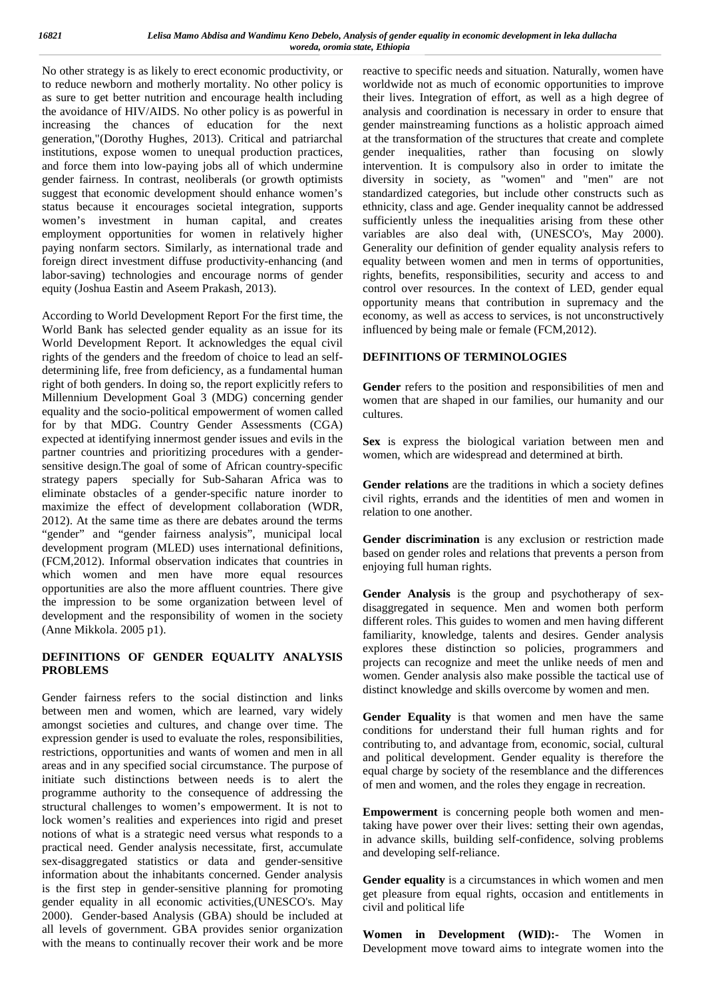No other strategy is as likely to erect economic productivity, or to reduce newborn and motherly mortality. No other policy is as sure to get better nutrition and encourage health including the avoidance of HIV/AIDS. No other policy is as powerful in increasing the chances of education for the next generation,"(Dorothy Hughes, 2013). Critical and patriarchal institutions, expose women to unequal production practices, and force them into low-paying jobs all of which undermine gender fairness. In contrast, neoliberals (or growth optimists suggest that economic development should enhance women's status because it encourages societal integration, supports women's investment in human capital, and creates employment opportunities for women in relatively higher paying nonfarm sectors. Similarly, as international trade and foreign direct investment diffuse productivity-enhancing (and labor-saving) technologies and encourage norms of gender equity (Joshua Eastin and Aseem Prakash, 2013).

According to World Development Report For the first time, the World Bank has selected gender equality as an issue for its World Development Report. It acknowledges the equal civil rights of the genders and the freedom of choice to lead an self determining life, free from deficiency, as a fundamental human right of both genders. In doing so, the report explicitly refers to Millennium Development Goal 3 (MDG) concerning gender equality and the socio-political empowerment of women called for by that MDG. Country Gender Assessments (CGA) expected at identifying innermost gender issues and evils in the partner countries and prioritizing procedures with a gender sensitive design.The goal of some of African country-specific strategy papers specially for Sub-Saharan Africa was to eliminate obstacles of a gender-specific nature inorder to maximize the effect of development collaboration (WDR, 2012). At the same time as there are debates around the terms "gender" and "gender fairness analysis", municipal local development program (MLED) uses international definitions, (FCM,2012). Informal observation indicates that countries in which women and men have more equal resources opportunities are also the more affluent countries. There give the impression to be some organization between level of development and the responsibility of women in the society (Anne Mikkola. 2005 p1).

## **DEFINITIONS OF GENDER EQUALITY ANALYSIS PROBLEMS**

Gender fairness refers to the social distinction and links between men and women, which are learned, vary widely amongst societies and cultures, and change over time. The expression gender is used to evaluate the roles, responsibilities, restrictions, opportunities and wants of women and men in all areas and in any specified social circumstance. The purpose of initiate such distinctions between needs is to alert the programme authority to the consequence of addressing the structural challenges to women's empowerment. It is not to lock women's realities and experiences into rigid and preset notions of what is a strategic need versus what responds to a practical need. Gender analysis necessitate, first, accumulate sex-disaggregated statistics or data and gender-sensitive information about the inhabitants concerned. Gender analysis is the first step in gender-sensitive planning for promoting gender equality in all economic activities,(UNESCO's. May 2000). Gender-based Analysis (GBA) should be included at all levels of government. GBA provides senior organization with the means to continually recover their work and be more

reactive to specific needs and situation. Naturally, women have worldwide not as much of economic opportunities to improve their lives. Integration of effort, as well as a high degree of analysis and coordination is necessary in order to ensure that gender mainstreaming functions as a holistic approach aimed at the transformation of the structures that create and complete gender inequalities, rather than focusing on slowly intervention. It is compulsory also in order to imitate the diversity in society, as "women" and "men" are not standardized categories, but include other constructs such as ethnicity, class and age. Gender inequality cannot be addressed sufficiently unless the inequalities arising from these other variables are also deal with, (UNESCO's, May 2000). Generality our definition of gender equality analysis refers to equality between women and men in terms of opportunities, rights, benefits, responsibilities, security and access to and control over resources. In the context of LED, gender equal opportunity means that contribution in supremacy and the economy, as well as access to services, is not unconstructively influenced by being male or female (FCM,2012).

## **DEFINITIONS OF TERMINOLOGIES**

**Gender** refers to the position and responsibilities of men and women that are shaped in our families, our humanity and our cultures.

**Sex** is express the biological variation between men and women, which are widespread and determined at birth.

**Gender relations** are the traditions in which a society defines civil rights, errands and the identities of men and women in relation to one another.

**Gender discrimination** is any exclusion or restriction made based on gender roles and relations that prevents a person from enjoying full human rights.

**Gender Analysis** is the group and psychotherapy of sex disaggregated in sequence. Men and women both perform different roles. This guides to women and men having different familiarity, knowledge, talents and desires. Gender analysis explores these distinction so policies, programmers and projects can recognize and meet the unlike needs of men and women. Gender analysis also make possible the tactical use of distinct knowledge and skills overcome by women and men.

**Gender Equality** is that women and men have the same conditions for understand their full human rights and for contributing to, and advantage from, economic, social, cultural and political development. Gender equality is therefore the equal charge by society of the resemblance and the differences of men and women, and the roles they engage in recreation.

**Empowerment** is concerning people both women and mentaking have power over their lives: setting their own agendas, in advance skills, building self-confidence, solving problems and developing self-reliance.

**Gender equality** is a circumstances in which women and men get pleasure from equal rights, occasion and entitlements in civil and political life

**Women in Development (WID):-** The Women in Development move toward aims to integrate women into the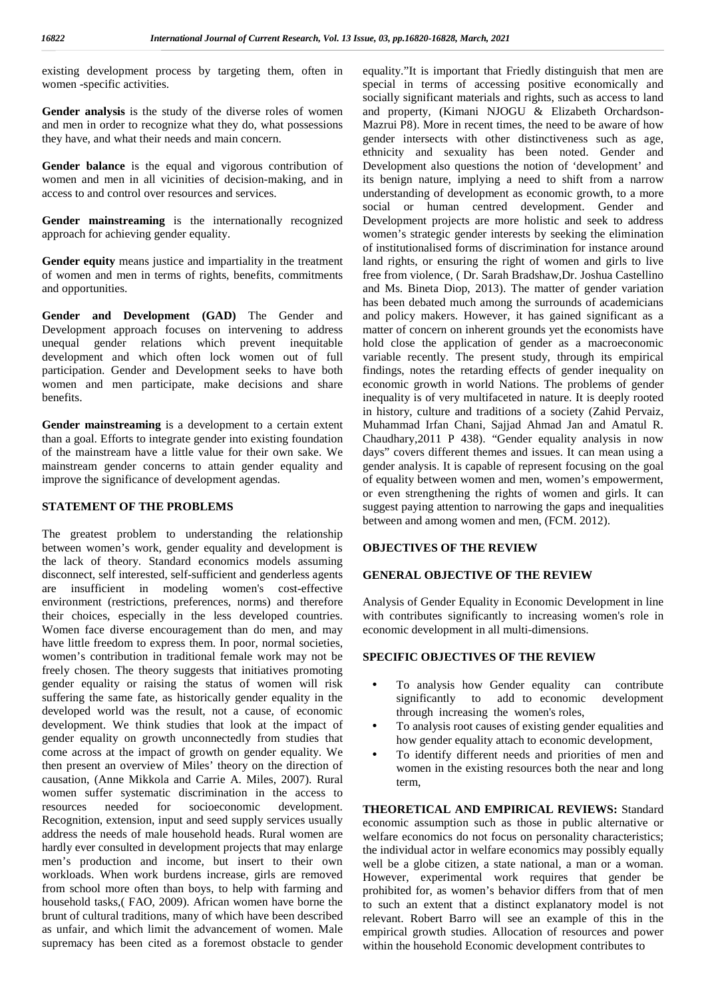existing development process by targeting them, often in women -specific activities.

**Gender analysis** is the study of the diverse roles of women and men in order to recognize what they do, what possessions they have, and what their needs and main concern.

Gender balance is the equal and vigorous contribution of women and men in all vicinities of decision-making, and in access to and control over resources and services.

**Gender mainstreaming** is the internationally recognized approach for achieving gender equality.

**Gender equity** means justice and impartiality in the treatment of women and men in terms of rights, benefits, commitments and opportunities.

**Gender and Development (GAD)** The Gender and Development approach focuses on intervening to address unequal gender relations which prevent inequitable development and which often lock women out of full participation. Gender and Development seeks to have both women and men participate, make decisions and share benefits.

**Gender mainstreaming** is a development to a certain extent than a goal. Efforts to integrate gender into existing foundation of the mainstream have a little value for their own sake. We mainstream gender concerns to attain gender equality and improve the significance of development agendas.

#### **STATEMENT OF THE PROBLEMS**

The greatest problem to understanding the relationship between women's work, gender equality and development is the lack of theory. Standard economics models assuming disconnect, self interested, self-sufficient and genderless agents are insufficient in modeling women's cost-effective environment (restrictions, preferences, norms) and therefore their choices, especially in the less developed countries. Women face diverse encouragement than do men, and may have little freedom to express them. In poor, normal societies, women's contribution in traditional female work may not be freely chosen. The theory suggests that initiatives promoting gender equality or raising the status of women will risk suffering the same fate, as historically gender equality in the developed world was the result, not a cause, of economic development. We think studies that look at the impact of gender equality on growth unconnectedly from studies that come across at the impact of growth on gender equality. We then present an overview of Miles' theory on the direction of causation, (Anne Mikkola and Carrie A. Miles, 2007). Rural women suffer systematic discrimination in the access to resources needed for socioeconomic development. Recognition, extension, input and seed supply services usually address the needs of male household heads. Rural women are hardly ever consulted in development projects that may enlarge men's production and income, but insert to their own workloads. When work burdens increase, girls are removed from school more often than boys, to help with farming and household tasks,( FAO, 2009). African women have borne the brunt of cultural traditions, many of which have been described as unfair, and which limit the advancement of women. Male supremacy has been cited as a foremost obstacle to gender equality."It is important that Friedly distinguish that men are special in terms of accessing positive economically and socially significant materials and rights, such as access to land and property, (Kimani NJOGU & Elizabeth Orchardson- Mazrui P8). More in recent times, the need to be aware of how gender intersects with other distinctiveness such as age, ethnicity and sexuality has been noted. Gender and Development also questions the notion of 'development' and its benign nature, implying a need to shift from a narrow understanding of development as economic growth, to a more social or human centred development. Gender and Development projects are more holistic and seek to address women's strategic gender interests by seeking the elimination of institutionalised forms of discrimination for instance around land rights, or ensuring the right of women and girls to live free from violence, ( Dr. Sarah Bradshaw,Dr. Joshua Castellino and Ms. Bineta Diop, 2013). The matter of gender variation has been debated much among the surrounds of academicians and policy makers. However, it has gained significant as a matter of concern on inherent grounds yet the economists have hold close the application of gender as a macroeconomic variable recently. The present study, through its empirical findings, notes the retarding effects of gender inequality on economic growth in world Nations. The problems of gender inequality is of very multifaceted in nature. It is deeply rooted in history, culture and traditions of a society (Zahid Pervaiz, Muhammad Irfan Chani, Sajjad Ahmad Jan and Amatul R. Chaudhary,2011 P 438). "Gender equality analysis in now days" covers different themes and issues. It can mean using a gender analysis. It is capable of represent focusing on the goal of equality between women and men, women's empowerment, or even strengthening the rights of women and girls. It can suggest paying attention to narrowing the gaps and inequalities between and among women and men, (FCM. 2012).

#### **OBJECTIVES OF THE REVIEW**

#### **GENERAL OBJECTIVE OF THE REVIEW**

Analysis of Gender Equality in Economic Development in line with contributes significantly to increasing women's role in economic development in all multi-dimensions.

### **SPECIFIC OBJECTIVES OF THE REVIEW**

- To analysis how Gender equality can contribute significantly to add to economic development through increasing the women's roles,
- To analysis root causes of existing gender equalities and how gender equality attach to economic development,
- To identify different needs and priorities of men and women in the existing resources both the near and long term,

**THEORETICAL AND EMPIRICAL REVIEWS:** Standard economic assumption such as those in public alternative or welfare economics do not focus on personality characteristics; the individual actor in welfare economics may possibly equally well be a globe citizen, a state national, a man or a woman. However, experimental work requires that gender be prohibited for, as women's behavior differs from that of men to such an extent that a distinct explanatory model is not relevant. Robert Barro will see an example of this in the empirical growth studies. Allocation of resources and power within the household Economic development contributes to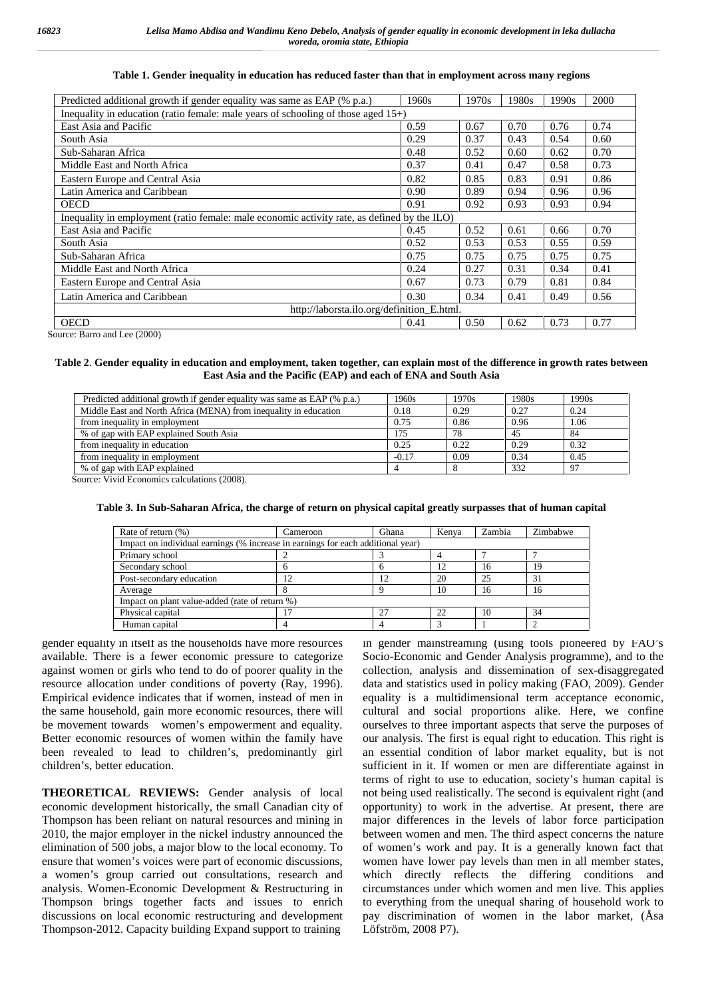#### **Table 1. Gender inequality in education has reduced faster than that in employment across many regions**

| Predicted additional growth if gender equality was same as EAP (% p.a.)                     | 1960s                                      | 1970s | 1980s | 1990s | 2000 |
|---------------------------------------------------------------------------------------------|--------------------------------------------|-------|-------|-------|------|
| Inequality in education (ratio female: male years of schooling of those aged $15+$ )        |                                            |       |       |       |      |
| East Asia and Pacific                                                                       | 0.59                                       | 0.67  | 0.70  | 0.76  | 0.74 |
| South Asia                                                                                  | 0.29                                       | 0.37  | 0.43  | 0.54  | 0.60 |
| Sub-Saharan Africa                                                                          | 0.48                                       | 0.52  | 0.60  | 0.62  | 0.70 |
| Middle East and North Africa                                                                | 0.37                                       | 0.41  | 0.47  | 0.58  | 0.73 |
| Eastern Europe and Central Asia                                                             | 0.82                                       | 0.85  | 0.83  | 0.91  | 0.86 |
| Latin America and Caribbean                                                                 | 0.90                                       | 0.89  | 0.94  | 0.96  | 0.96 |
| <b>OECD</b>                                                                                 | 0.91                                       | 0.92  | 0.93  | 0.93  | 0.94 |
| Inequality in employment (ratio female: male economic activity rate, as defined by the ILO) |                                            |       |       |       |      |
| East Asia and Pacific                                                                       | 0.45                                       | 0.52  | 0.61  | 0.66  | 0.70 |
| South Asia                                                                                  | 0.52                                       | 0.53  | 0.53  | 0.55  | 0.59 |
| Sub-Saharan Africa                                                                          | 0.75                                       | 0.75  | 0.75  | 0.75  | 0.75 |
| Middle East and North Africa                                                                | 0.24                                       | 0.27  | 0.31  | 0.34  | 0.41 |
| Eastern Europe and Central Asia                                                             | 0.67                                       | 0.73  | 0.79  | 0.81  | 0.84 |
| Latin America and Caribbean                                                                 | 0.30                                       | 0.34  | 0.41  | 0.49  | 0.56 |
|                                                                                             | http://laborsta.ilo.org/definition_E.html. |       |       |       |      |
| <b>OECD</b>                                                                                 | 0.41                                       | 0.50  | 0.62  | 0.73  | 0.77 |

Source: Barro and Lee (2000)

#### **Table 2**. **Gender equality in education and employment, taken together, can explain most of the difference in growth rates between East Asia and the Pacific (EAP) and each of ENA and South Asia**

| Predicted additional growth if gender equality was same as EAP (% p.a.) | 1960s   | 1970s | 1980s | 1990s |
|-------------------------------------------------------------------------|---------|-------|-------|-------|
| Middle East and North Africa (MENA) from inequality in education        | 0.18    | 0.29  | 0.27  | 0.24  |
| from inequality in employment                                           | 0.75    | 0.86  | 0.96  | 1.06  |
| % of gap with EAP explained South Asia                                  | 175     | 78    | 45    | 84    |
| from inequality in education                                            | 0.25    | 0.22  | 0.29  | 0.32  |
| from inequality in employment                                           | $-0.17$ | 0.09  | 0.34  | 0.45  |
| % of gap with EAP explained                                             |         |       | 332   | 97    |
|                                                                         |         |       |       |       |

Source: Vivid Economics calculations (2008).

| Table 3. In Sub-Saharan Africa, the charge of return on physical capital greatly surpasses that of human capital |  |  |  |  |
|------------------------------------------------------------------------------------------------------------------|--|--|--|--|
|------------------------------------------------------------------------------------------------------------------|--|--|--|--|

| Rate of return (%)                                                              | Cameroon | Ghana | Kenva | Zambia | Zimbabwe |
|---------------------------------------------------------------------------------|----------|-------|-------|--------|----------|
| Impact on individual earnings (% increase in earnings for each additional year) |          |       |       |        |          |
| Primary school                                                                  |          |       |       |        |          |
| Secondary school                                                                |          |       | 12    | 16     | 19       |
| Post-secondary education                                                        |          |       | 20    | 25     | 31       |
| Average                                                                         |          |       | 10    | 16     | 16       |
| Impact on plant value-added (rate of return %)                                  |          |       |       |        |          |
| Physical capital                                                                |          | 27    | 22    | 10     | 34       |
| Human capital                                                                   |          |       |       |        |          |

gender equality in itself as the households have more resources available. There is a fewer economic pressure to categorize against women or girls who tend to do of poorer quality in the resource allocation under conditions of poverty (Ray, 1996). Empirical evidence indicates that if women, instead of men in the same household, gain more economic resources, there will be movement towards women's empowerment and equality. Better economic resources of women within the family have been revealed to lead to children's, predominantly girl children's, better education.

**THEORETICAL REVIEWS:** Gender analysis of local economic development historically, the small Canadian city of Thompson has been reliant on natural resources and mining in 2010, the major employer in the nickel industry announced the elimination of 500 jobs, a major blow to the local economy. To ensure that women's voices were part of economic discussions, a women's group carried out consultations, research and analysis. Women-Economic Development & Restructuring in Thompson brings together facts and issues to enrich discussions on local economic restructuring and development Thompson-2012. Capacity building Expand support to training

in gender mainstreaming (using tools pioneered by FAO's Socio-Economic and Gender Analysis programme), and to the collection, analysis and dissemination of sex-disaggregated data and statistics used in policy making (FAO, 2009). Gender equality is a multidimensional term acceptance economic, cultural and social proportions alike. Here, we confine ourselves to three important aspects that serve the purposes of our analysis. The first is equal right to education. This right is an essential condition of labor market equality, but is not sufficient in it. If women or men are differentiate against in terms of right to use to education, society's human capital is not being used realistically. The second is equivalent right (and opportunity) to work in the advertise. At present, there are major differences in the levels of labor force participation between women and men. The third aspect concerns the nature of women's work and pay. It is a generally known fact that women have lower pay levels than men in all member states, which directly reflects the differing conditions and circumstances under which women and men live. This applies to everything from the unequal sharing of household work to pay discrimination of women in the labor market, (Åsa Löfström, 2008 P7).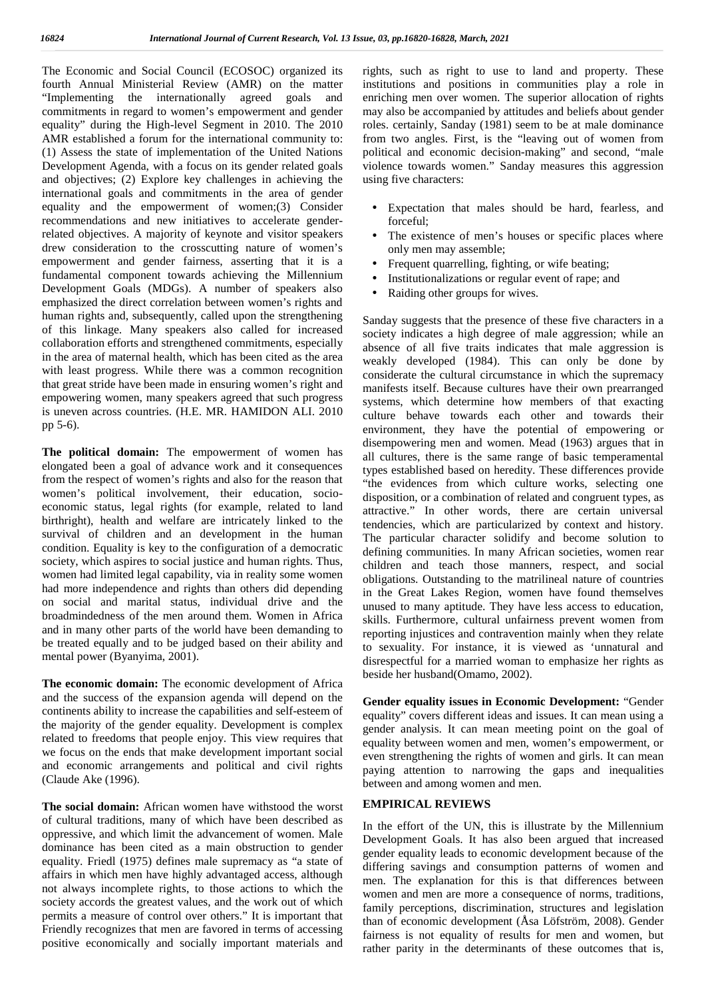The Economic and Social Council (ECOSOC) organized its fourth Annual Ministerial Review (AMR) on the matter "Implementing the internationally agreed goals and commitments in regard to women's empowerment and gender equality" during the High-level Segment in 2010. The 2010 AMR established a forum for the international community to: (1) Assess the state of implementation of the United Nations Development Agenda, with a focus on its gender related goals and objectives; (2) Explore key challenges in achieving the international goals and commitments in the area of gender equality and the empowerment of women;(3) Consider recommendations and new initiatives to accelerate genderrelated objectives. A majority of keynote and visitor speakers drew consideration to the crosscutting nature of women's empowerment and gender fairness, asserting that it is a fundamental component towards achieving the Millennium Development Goals (MDGs). A number of speakers also  $\bigcup$ emphasized the direct correlation between women's rights and human rights and, subsequently, called upon the strengthening of this linkage. Many speakers also called for increased collaboration efforts and strengthened commitments, especially in the area of maternal health, which has been cited as the area with least progress. While there was a common recognition that great stride have been made in ensuring women's right and empowering women, many speakers agreed that such progress is uneven across countries. (H.E. MR. HAMIDON ALI. 2010 pp 5-6).

**The political domain:** The empowerment of women has elongated been a goal of advance work and it consequences from the respect of women's rights and also for the reason that women's political involvement, their education, socio economic status, legal rights (for example, related to land birthright), health and welfare are intricately linked to the survival of children and an development in the human condition. Equality is key to the configuration of a democratic society, which aspires to social justice and human rights. Thus, women had limited legal capability, via in reality some women had more independence and rights than others did depending on social and marital status, individual drive and the broadmindedness of the men around them. Women in Africa and in many other parts of the world have been demanding to be treated equally and to be judged based on their ability and mental power (Byanyima, 2001).

**The economic domain:** The economic development of Africa and the success of the expansion agenda will depend on the continents ability to increase the capabilities and self-esteem of the majority of the gender equality. Development is complex related to freedoms that people enjoy. This view requires that we focus on the ends that make development important social and economic arrangements and political and civil rights (Claude Ake (1996).

**The social domain:** African women have withstood the worst of cultural traditions, many of which have been described as oppressive, and which limit the advancement of women. Male dominance has been cited as a main obstruction to gender equality. Friedl (1975) defines male supremacy as "a state of affairs in which men have highly advantaged access, although not always incomplete rights, to those actions to which the society accords the greatest values, and the work out of which permits a measure of control over others." It is important that Friendly recognizes that men are favored in terms of accessing positive economically and socially important materials and

rights, such as right to use to land and property. These institutions and positions in communities play a role in enriching men over women. The superior allocation of rights may also be accompanied by attitudes and beliefs about gender roles. certainly, Sanday (1981) seem to be at male dominance from two angles. First, is the "leaving out of women from political and economic decision-making" and second, "male violence towards women." Sanday measures this aggression using five characters:

- Expectation that males should be hard, fearless, and forceful;
- The existence of men's houses or specific places where only men may assemble;
- Frequent quarrelling, fighting, or wife beating;
- Institutionalizations or regular event of rape; and
- Raiding other groups for wives.

Sanday suggests that the presence of these five characters in a society indicates a high degree of male aggression; while an absence of all five traits indicates that male aggression is weakly developed (1984). This can only be done by considerate the cultural circumstance in which the supremacy manifests itself. Because cultures have their own prearranged systems, which determine how members of that exacting culture behave towards each other and towards their environment, they have the potential of empowering or disempowering men and women. Mead (1963) argues that in all cultures, there is the same range of basic temperamental types established based on heredity. These differences provide "the evidences from which culture works, selecting one disposition, or a combination of related and congruent types, as attractive." In other words, there are certain universal tendencies, which are particularized by context and history. The particular character solidify and become solution to defining communities. In many African societies, women rear children and teach those manners, respect, and social obligations. Outstanding to the matrilineal nature of countries in the Great Lakes Region, women have found themselves unused to many aptitude. They have less access to education, skills. Furthermore, cultural unfairness prevent women from reporting injustices and contravention mainly when they relate to sexuality. For instance, it is viewed as 'unnatural and disrespectful for a married woman to emphasize her rights as beside her husband(Omamo, 2002).

**Gender equality issues in Economic Development:** "Gender equality" covers different ideas and issues. It can mean using a gender analysis. It can mean meeting point on the goal of equality between women and men, women's empowerment, or even strengthening the rights of women and girls. It can mean paying attention to narrowing the gaps and inequalities between and among women and men.

#### **EMPIRICAL REVIEWS**

In the effort of the UN, this is illustrate by the Millennium Development Goals. It has also been argued that increased gender equality leads to economic development because of the differing savings and consumption patterns of women and men. The explanation for this is that differences between women and men are more a consequence of norms, traditions, family perceptions, discrimination, structures and legislation than of economic development (Åsa Löfström, 2008). Gender fairness is not equality of results for men and women, but rather parity in the determinants of these outcomes that is,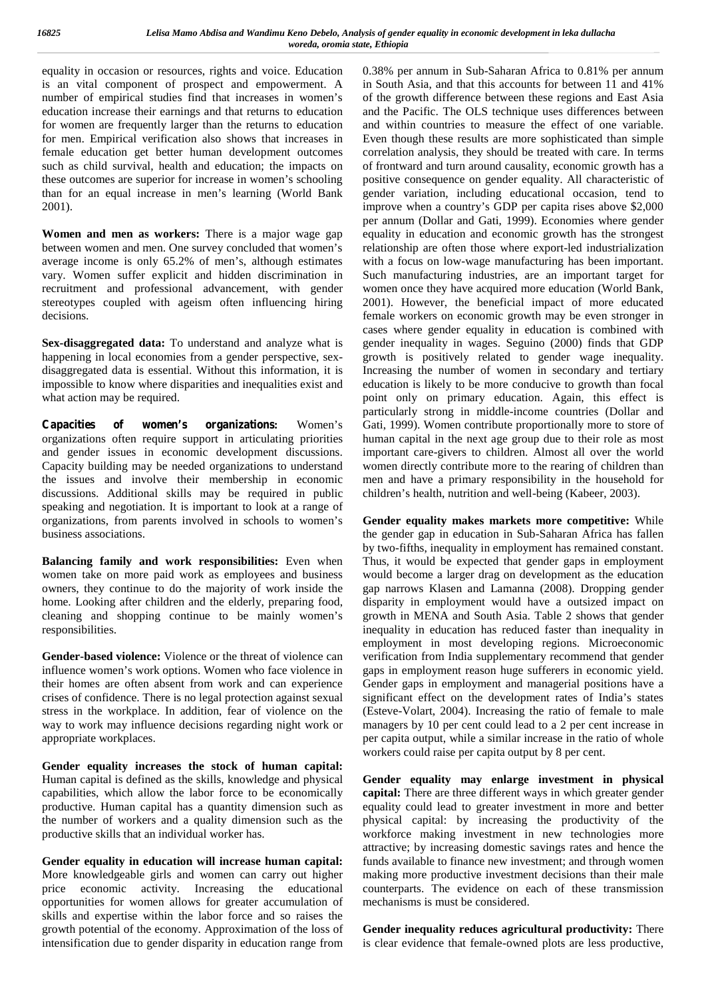equality in occasion or resources, rights and voice. Education is an vital component of prospect and empowerment. A number of empirical studies find that increases in women's education increase their earnings and that returns to education for women are frequently larger than the returns to education for men. Empirical verification also shows that increases in female education get better human development outcomes such as child survival, health and education; the impacts on these outcomes are superior for increase in women's schooling than for an equal increase in men's learning (World Bank 2001).

**Women and men as workers:** There is a major wage gap between women and men. One survey concluded that women's average income is only 65.2% of men's, although estimates vary. Women suffer explicit and hidden discrimination in recruitment and professional advancement, with gender stereotypes coupled with ageism often influencing hiring decisions.

**Sex-disaggregated data:** To understand and analyze what is happening in local economies from a gender perspective, sex disaggregated data is essential. Without this information, it is impossible to know where disparities and inequalities exist and what action may be required.

**Capacities of women's organizations:** Women's organizations often require support in articulating priorities and gender issues in economic development discussions. Capacity building may be needed organizations to understand the issues and involve their membership in economic discussions. Additional skills may be required in public speaking and negotiation. It is important to look at a range of organizations, from parents involved in schools to women's business associations.

**Balancing family and work responsibilities:** Even when women take on more paid work as employees and business owners, they continue to do the majority of work inside the home. Looking after children and the elderly, preparing food, cleaning and shopping continue to be mainly women's responsibilities.

**Gender-based violence:** Violence or the threat of violence can influence women's work options. Women who face violence in their homes are often absent from work and can experience crises of confidence. There is no legal protection against sexual stress in the workplace. In addition, fear of violence on the way to work may influence decisions regarding night work or appropriate workplaces.

**Gender equality increases the stock of human capital:** Human capital is defined as the skills, knowledge and physical capabilities, which allow the labor force to be economically productive. Human capital has a quantity dimension such as the number of workers and a quality dimension such as the productive skills that an individual worker has.

**Gender equality in education will increase human capital:** More knowledgeable girls and women can carry out higher price economic activity. Increasing the educational opportunities for women allows for greater accumulation of skills and expertise within the labor force and so raises the growth potential of the economy. Approximation of the loss of intensification due to gender disparity in education range from 0.38% per annum in Sub-Saharan Africa to 0.81% per annum in South Asia, and that this accounts for between 11 and 41% of the growth difference between these regions and East Asia and the Pacific. The OLS technique uses differences between and within countries to measure the effect of one variable. Even though these results are more sophisticated than simple correlation analysis, they should be treated with care. In terms of frontward and turn around causality, economic growth has a positive consequence on gender equality. All characteristic of gender variation, including educational occasion, tend to improve when a country's GDP per capita rises above \$2,000 per annum (Dollar and Gati, 1999). Economies where gender equality in education and economic growth has the strongest relationship are often those where export-led industrialization with a focus on low-wage manufacturing has been important. Such manufacturing industries, are an important target for women once they have acquired more education (World Bank, 2001). However, the beneficial impact of more educated female workers on economic growth may be even stronger in cases where gender equality in education is combined with gender inequality in wages. Seguino (2000) finds that GDP growth is positively related to gender wage inequality. Increasing the number of women in secondary and tertiary education is likely to be more conducive to growth than focal point only on primary education. Again, this effect is particularly strong in middle-income countries (Dollar and Gati, 1999). Women contribute proportionally more to store of human capital in the next age group due to their role as most important care-givers to children. Almost all over the world women directly contribute more to the rearing of children than men and have a primary responsibility in the household for children's health, nutrition and well-being (Kabeer, 2003).

**Gender equality makes markets more competitive:** While the gender gap in education in Sub-Saharan Africa has fallen by two-fifths, inequality in employment has remained constant. Thus, it would be expected that gender gaps in employment would become a larger drag on development as the education gap narrows Klasen and Lamanna (2008). Dropping gender disparity in employment would have a outsized impact on growth in MENA and South Asia. Table 2 shows that gender inequality in education has reduced faster than inequality in employment in most developing regions. Microeconomic verification from India supplementary recommend that gender gaps in employment reason huge sufferers in economic yield. Gender gaps in employment and managerial positions have a significant effect on the development rates of India's states (Esteve-Volart, 2004). Increasing the ratio of female to male managers by 10 per cent could lead to a 2 per cent increase in per capita output, while a similar increase in the ratio of whole workers could raise per capita output by 8 per cent.

**Gender equality may enlarge investment in physical capital:** There are three different ways in which greater gender equality could lead to greater investment in more and better physical capital: by increasing the productivity of the workforce making investment in new technologies more attractive; by increasing domestic savings rates and hence the funds available to finance new investment; and through women making more productive investment decisions than their male counterparts. The evidence on each of these transmission mechanisms is must be considered.

**Gender inequality reduces agricultural productivity:** There is clear evidence that female-owned plots are less productive,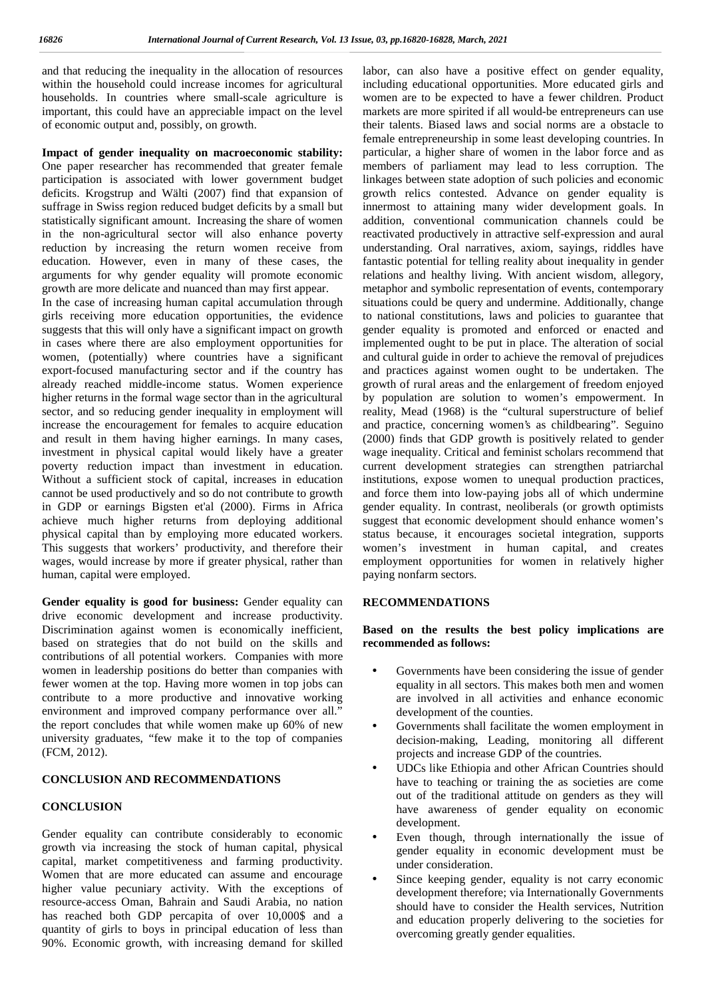and that reducing the inequality in the allocation of resources within the household could increase incomes for agricultural households. In countries where small-scale agriculture is important, this could have an appreciable impact on the level of economic output and, possibly, on growth.

#### **Impact of gender inequality on macroeconomic stability:**

One paper researcher has recommended that greater female participation is associated with lower government budget deficits. Krogstrup and Wälti (2007) find that expansion of suffrage in Swiss region reduced budget deficits by a small but statistically significant amount. Increasing the share of women in the non-agricultural sector will also enhance poverty reduction by increasing the return women receive from education. However, even in many of these cases, the arguments for why gender equality will promote economic growth are more delicate and nuanced than may first appear.

In the case of increasing human capital accumulation through girls receiving more education opportunities, the evidence suggests that this will only have a significant impact on growth in cases where there are also employment opportunities for women, (potentially) where countries have a significant export-focused manufacturing sector and if the country has already reached middle-income status. Women experience higher returns in the formal wage sector than in the agricultural sector, and so reducing gender inequality in employment will increase the encouragement for females to acquire education and result in them having higher earnings. In many cases, investment in physical capital would likely have a greater poverty reduction impact than investment in education. Without a sufficient stock of capital, increases in education cannot be used productively and so do not contribute to growth in GDP or earnings Bigsten et'al (2000). Firms in Africa achieve much higher returns from deploying additional physical capital than by employing more educated workers. This suggests that workers' productivity, and therefore their wages, would increase by more if greater physical, rather than human, capital were employed.

**Gender equality is good for business:** Gender equality can drive economic development and increase productivity. Discrimination against women is economically inefficient, based on strategies that do not build on the skills and contributions of all potential workers. Companies with more women in leadership positions do better than companies with fewer women at the top. Having more women in top jobs can contribute to a more productive and innovative working environment and improved company performance over all." the report concludes that while women make up 60% of new university graduates, "few make it to the top of companies (FCM, 2012).

#### **CONCLUSION AND RECOMMENDATIONS**

#### **CONCLUSION**

Gender equality can contribute considerably to economic growth via increasing the stock of human capital, physical capital, market competitiveness and farming productivity. Women that are more educated can assume and encourage higher value pecuniary activity. With the exceptions of resource-access Oman, Bahrain and Saudi Arabia, no nation has reached both GDP percapita of over 10,000\$ and a quantity of girls to boys in principal education of less than 90%. Economic growth, with increasing demand for skilled labor, can also have a positive effect on gender equality, including educational opportunities. More educated girls and women are to be expected to have a fewer children. Product markets are more spirited if all would-be entrepreneurs can use their talents. Biased laws and social norms are a obstacle to female entrepreneurship in some least developing countries. In particular, a higher share of women in the labor force and as members of parliament may lead to less corruption. The linkages between state adoption of such policies and economic growth relics contested. Advance on gender equality is innermost to attaining many wider development goals. In addition, conventional communication channels could be reactivated productively in attractive self-expression and aural understanding. Oral narratives, axiom, sayings, riddles have fantastic potential for telling reality about inequality in gender relations and healthy living. With ancient wisdom, allegory, metaphor and symbolic representation of events, contemporary situations could be query and undermine. Additionally, change to national constitutions, laws and policies to guarantee that gender equality is promoted and enforced or enacted and implemented ought to be put in place. The alteration of social and cultural guide in order to achieve the removal of prejudices and practices against women ought to be undertaken. The growth of rural areas and the enlargement of freedom enjoyed by population are solution to women's empowerment. In reality, Mead (1968) is the "cultural superstructure of belief and practice, concerning women's as childbearing". Seguino (2000) finds that GDP growth is positively related to gender wage inequality. Critical and feminist scholars recommend that current development strategies can strengthen patriarchal institutions, expose women to unequal production practices, and force them into low-paying jobs all of which undermine gender equality. In contrast, neoliberals (or growth optimists suggest that economic development should enhance women's status because, it encourages societal integration, supports women's investment in human capital, and creates employment opportunities for women in relatively higher paying nonfarm sectors.

#### **RECOMMENDATIONS**

**Based on the results the best policy implications are recommended as follows:**

- Governments have been considering the issue of gender equality in all sectors. This makes both men and women are involved in all activities and enhance economic development of the counties.
- Governments shall facilitate the women employment in decision-making, Leading, monitoring all different projects and increase GDP of the countries.
- UDCs like Ethiopia and other African Countries should have to teaching or training the as societies are come out of the traditional attitude on genders as they will have awareness of gender equality on economic development.
- Even though, through internationally the issue of gender equality in economic development must be under consideration.
- Since keeping gender, equality is not carry economic development therefore; via Internationally Governments should have to consider the Health services, Nutrition and education properly delivering to the societies for overcoming greatly gender equalities.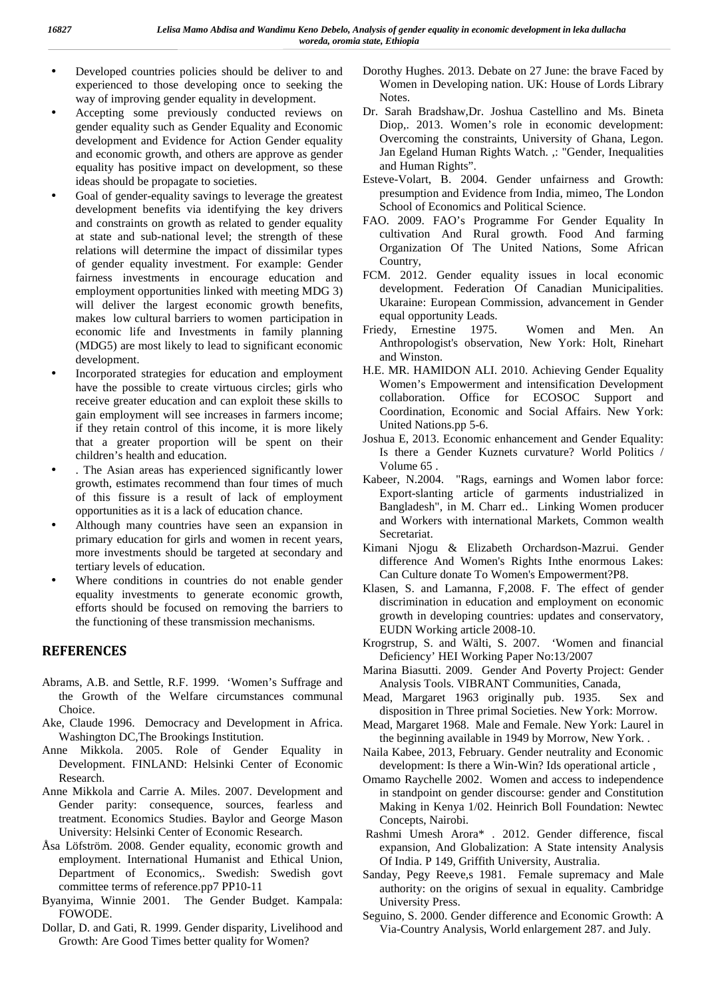- Developed countries policies should be deliver to and experienced to those developing once to seeking the way of improving gender equality in development.
- Accepting some previously conducted reviews on gender equality such as Gender Equality and Economic development and Evidence for Action Gender equality and economic growth, and others are approve as gender equality has positive impact on development, so these ideas should be propagate to societies.
- Goal of gender-equality savings to leverage the greatest development benefits via identifying the key drivers and constraints on growth as related to gender equality at state and sub-national level; the strength of these relations will determine the impact of dissimilar types of gender equality investment. For example: Gender fairness investments in encourage education and employment opportunities linked with meeting MDG 3) will deliver the largest economic growth benefits, makes low cultural barriers to women participation in economic life and Investments in family planning (MDG5) are most likely to lead to significant economic development.
- Incorporated strategies for education and employment have the possible to create virtuous circles; girls who receive greater education and can exploit these skills to gain employment will see increases in farmers income; if they retain control of this income, it is more likely that a greater proportion will be spent on their children's health and education.
- . The Asian areas has experienced significantly lower growth, estimates recommend than four times of much of this fissure is a result of lack of employment opportunities as it is a lack of education chance.
- Although many countries have seen an expansion in primary education for girls and women in recent years, more investments should be targeted at secondary and tertiary levels of education.
- Where conditions in countries do not enable gender equality investments to generate economic growth, efforts should be focused on removing the barriers to the functioning of these transmission mechanisms.

## **REFERENCES**

- Abrams, A.B. and Settle, R.F. 1999. 'Women's Suffrage and the Growth of the Welfare circumstances communal Choice.
- Ake, Claude 1996. Democracy and Development in Africa. Washington DC,The Brookings Institution.
- Anne Mikkola. 2005. Role of Gender Equality in Development. FINLAND: Helsinki Center of Economic Research.
- Anne Mikkola and Carrie A. Miles. 2007. Development and Gender parity: consequence, sources, fearless and treatment. Economics Studies. Baylor and George Mason University: Helsinki Center of Economic Research.
- Åsa Löfström. 2008. Gender equality, economic growth and employment. International Humanist and Ethical Union, Department of Economics,. Swedish: Swedish govt committee terms of reference.pp7 PP10-11
- Byanyima, Winnie 2001. The Gender Budget. Kampala: FOWODE.
- Dollar, D. and Gati, R. 1999. Gender disparity, Livelihood and Growth: Are Good Times better quality for Women?
- Dorothy Hughes. 2013. Debate on 27 June: the brave Faced by Women in Developing nation. UK: House of Lords Library Notes.
- Dr. Sarah Bradshaw,Dr. Joshua Castellino and Ms. Bineta Diop,. 2013. Women's role in economic development: Overcoming the constraints, University of Ghana, Legon. Jan Egeland Human Rights Watch. ,: "Gender, Inequalities and Human Rights".
- Esteve-Volart, B. 2004. Gender unfairness and Growth: presumption and Evidence from India, mimeo, The London School of Economics and Political Science.
- FAO. 2009. FAO's Programme For Gender Equality In cultivation And Rural growth. Food And farming Organization Of The United Nations, Some African Country,
- FCM. 2012. Gender equality issues in local economic development. Federation Of Canadian Municipalities. Ukaraine: European Commission, advancement in Gender equal opportunity Leads.
- Friedy, Ernestine 1975. Women and Men. An Anthropologist's observation, New York: Holt, Rinehart and Winston.
- H.E. MR. HAMIDON ALI. 2010. Achieving Gender Equality Women's Empowerment and intensification Development collaboration. Office for ECOSOC Support and Coordination, Economic and Social Affairs. New York: United Nations.pp 5-6.
- Joshua E, 2013. Economic enhancement and Gender Equality: Is there a Gender Kuznets curvature? World Politics / Volume 65 .
- Kabeer, N.2004. "Rags, earnings and Women labor force: Export-slanting article of garments industrialized in Bangladesh", in M. Charr ed.. Linking Women producer and Workers with international Markets, Common wealth Secretariat.
- Kimani Njogu & Elizabeth Orchardson-Mazrui. Gender difference And Women's Rights Inthe enormous Lakes: Can Culture donate To Women's Empowerment?P8.
- Klasen, S. and Lamanna, F,2008. F. The effect of gender discrimination in education and employment on economic growth in developing countries: updates and conservatory, EUDN Working article 2008-10.
- Krogrstrup, S. and Wälti, S. 2007. 'Women and financial Deficiency' HEI Working Paper No:13/2007
- Marina Biasutti. 2009. Gender And Poverty Project: Gender Analysis Tools. VIBRANT Communities, Canada,
- Mead, Margaret 1963 originally pub. 1935. Sex and disposition in Three primal Societies. New York: Morrow.
- Mead, Margaret 1968. Male and Female. New York: Laurel in the beginning available in 1949 by Morrow, New York. .
- Naila Kabee, 2013, February. Gender neutrality and Economic development: Is there a Win-Win? Ids operational article ,
- Omamo Raychelle 2002. Women and access to independence in standpoint on gender discourse: gender and Constitution Making in Kenya 1/02. Heinrich Boll Foundation: Newtec Concepts, Nairobi.
- Rashmi Umesh Arora\* . 2012. Gender difference, fiscal expansion, And Globalization: A State intensity Analysis Of India. P 149, Griffith University, Australia.
- Sanday, Pegy Reeve,s 1981. Female supremacy and Male authority: on the origins of sexual in equality. Cambridge University Press.
- Seguino, S. 2000. Gender difference and Economic Growth: A Via-Country Analysis, World enlargement 287. and July.